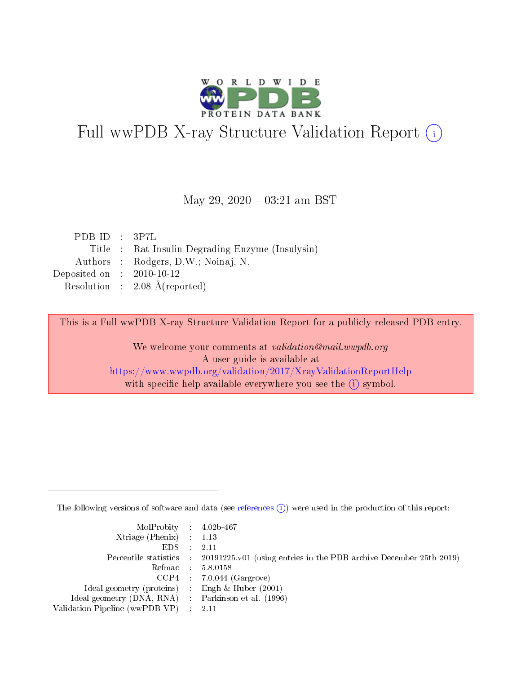

# Full wwPDB X-ray Structure Validation Report (i)

#### May 29,  $2020 - 03:21$  am BST

| PDBID : 3P7L                |                                                  |
|-----------------------------|--------------------------------------------------|
|                             | Title : Rat Insulin Degrading Enzyme (Insulysin) |
|                             | Authors : Rodgers, D.W.; Noinaj, N.              |
| Deposited on : $2010-10-12$ |                                                  |
|                             | Resolution : $2.08 \text{ Å}$ (reported)         |

This is a Full wwPDB X-ray Structure Validation Report for a publicly released PDB entry.

We welcome your comments at validation@mail.wwpdb.org A user guide is available at <https://www.wwpdb.org/validation/2017/XrayValidationReportHelp> with specific help available everywhere you see the  $(i)$  symbol.

The following versions of software and data (see [references](https://www.wwpdb.org/validation/2017/XrayValidationReportHelp#references)  $(i)$ ) were used in the production of this report:

| MolProbity : 4.02b-467         |                                                                                            |
|--------------------------------|--------------------------------------------------------------------------------------------|
| Xtriage (Phenix) $: 1.13$      |                                                                                            |
| $EDS$ :                        | 2.11                                                                                       |
|                                | Percentile statistics : 20191225.v01 (using entries in the PDB archive December 25th 2019) |
|                                | Refmac 58.0158                                                                             |
|                                | $CCP4$ 7.0.044 (Gargrove)                                                                  |
| Ideal geometry (proteins)      | Engh $\&$ Huber (2001)                                                                     |
| Ideal geometry (DNA, RNA) :    | Parkinson et al. (1996)                                                                    |
| Validation Pipeline (wwPDB-VP) | -2.11                                                                                      |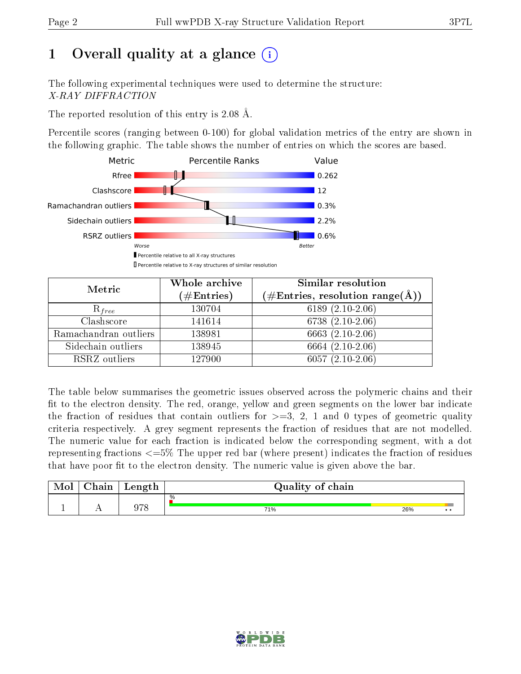# 1 [O](https://www.wwpdb.org/validation/2017/XrayValidationReportHelp#overall_quality)verall quality at a glance  $(i)$

The following experimental techniques were used to determine the structure: X-RAY DIFFRACTION

The reported resolution of this entry is 2.08 Å.

Percentile scores (ranging between 0-100) for global validation metrics of the entry are shown in the following graphic. The table shows the number of entries on which the scores are based.



| Metric                | Whole archive<br>$(\#\text{Entries})$ | Similar resolution<br>$(\#\text{Entries}, \text{resolution range}(\text{\AA}))$ |
|-----------------------|---------------------------------------|---------------------------------------------------------------------------------|
| $R_{free}$            | 130704                                | 6189 $(2.10-2.06)$                                                              |
| Clashscore            | 141614                                | $6738(2.10-2.06)$                                                               |
| Ramachandran outliers | 138981                                | $6663$ $(2.10-2.06)$                                                            |
| Sidechain outliers    | 138945                                | 6664 (2.10-2.06)                                                                |
| RSRZ outliers         | 127900                                | $6057(2.10-2.06)$                                                               |

The table below summarises the geometric issues observed across the polymeric chains and their fit to the electron density. The red, orange, yellow and green segments on the lower bar indicate the fraction of residues that contain outliers for  $>=3, 2, 1$  and 0 types of geometric quality criteria respectively. A grey segment represents the fraction of residues that are not modelled. The numeric value for each fraction is indicated below the corresponding segment, with a dot representing fractions  $\epsilon=5\%$  The upper red bar (where present) indicates the fraction of residues that have poor fit to the electron density. The numeric value is given above the bar.

| Mol | $\cap$ hain | Length | Quality of chain |     |              |
|-----|-------------|--------|------------------|-----|--------------|
|     |             |        | %                |     |              |
|     |             | ∩⇔o    | 71%              | 26% | $\cdot\cdot$ |

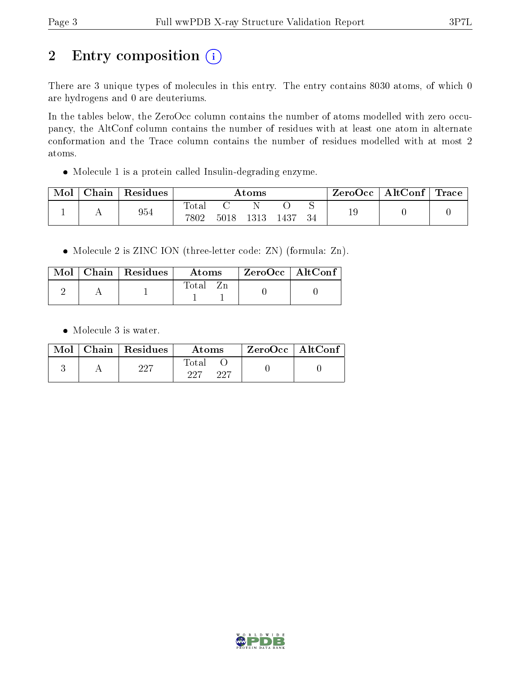# 2 Entry composition (i)

There are 3 unique types of molecules in this entry. The entry contains 8030 atoms, of which 0 are hydrogens and 0 are deuteriums.

In the tables below, the ZeroOcc column contains the number of atoms modelled with zero occupancy, the AltConf column contains the number of residues with at least one atom in alternate conformation and the Trace column contains the number of residues modelled with at most 2 atoms.

Molecule 1 is a protein called Insulin-degrading enzyme.

| Mol | $Chain$ | $\vert$ Residues | Atoms         |      |      | ZeroOcc | $\mathbf{AltConf} \mid \mathbf{Trace} \mid$ |    |  |  |
|-----|---------|------------------|---------------|------|------|---------|---------------------------------------------|----|--|--|
|     |         | 954              | Total<br>7802 | 5018 | 1313 | 1437    |                                             | 19 |  |  |

Molecule 2 is ZINC ION (three-letter code: ZN) (formula: Zn).

|  | $Mol$   Chain   Residues | Atoms | ZeroOcc   AltConf |  |
|--|--------------------------|-------|-------------------|--|
|  |                          | Total |                   |  |

Molecule 3 is water.

|  | $Mol$   Chain   Residues | Atoms               | $ZeroOcc \   \$ AltConf |
|--|--------------------------|---------------------|-------------------------|
|  | 227                      | Total<br>997<br>227 |                         |

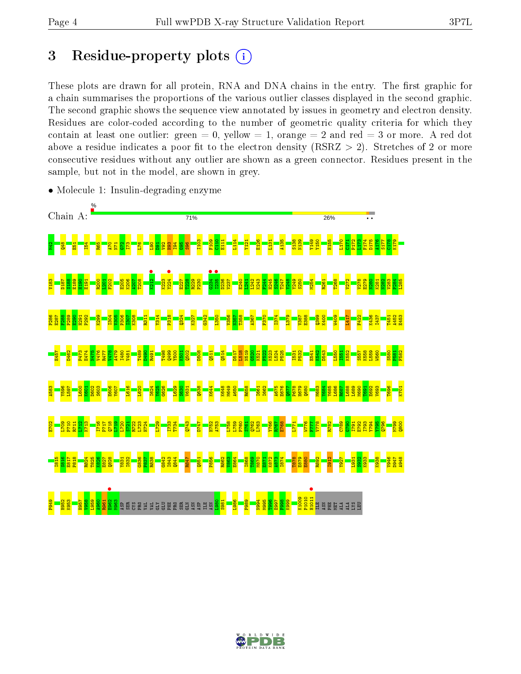## 3 Residue-property plots  $(i)$

These plots are drawn for all protein, RNA and DNA chains in the entry. The first graphic for a chain summarises the proportions of the various outlier classes displayed in the second graphic. The second graphic shows the sequence view annotated by issues in geometry and electron density. Residues are color-coded according to the number of geometric quality criteria for which they contain at least one outlier: green  $= 0$ , yellow  $= 1$ , orange  $= 2$  and red  $= 3$  or more. A red dot above a residue indicates a poor fit to the electron density (RSRZ  $> 2$ ). Stretches of 2 or more consecutive residues without any outlier are shown as a green connector. Residues present in the sample, but not in the model, are shown in grey.



• Molecule 1: Insulin-degrading enzyme

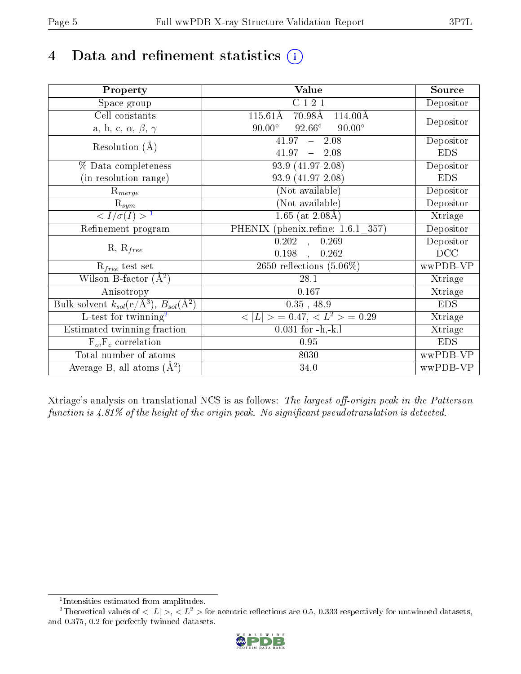# 4 Data and refinement statistics  $(i)$

| Property                                                             | Value                                                         | Source     |
|----------------------------------------------------------------------|---------------------------------------------------------------|------------|
| Space group                                                          | C121                                                          | Depositor  |
| Cell constants                                                       | $70.98\text{\AA}$<br>$115.61\text{\AA}$<br>$114.00\text{\AA}$ |            |
| a, b, c, $\alpha$ , $\beta$ , $\gamma$                               | $90.00^\circ$<br>$92.66^\circ$<br>$90.00^\circ$               | Depositor  |
| Resolution $(A)$                                                     | $-2.08$<br>41.97                                              | Depositor  |
|                                                                      | 41.97<br>$-2.08$                                              | <b>EDS</b> |
| % Data completeness                                                  | 93.9 (41.97-2.08)                                             | Depositor  |
| (in resolution range)                                                | 93.9 (41.97-2.08)                                             | <b>EDS</b> |
| $R_{merge}$                                                          | (Not available)                                               | Depositor  |
| $\mathrm{R}_{sym}$                                                   | (Not available)                                               | Depositor  |
| $\langle I/\sigma(I) \rangle$ <sup>1</sup>                           | $\overline{1.65}$ (at 2.08Å)                                  | Xtriage    |
| Refinement program                                                   | PHENIX (phenix.refine: 1.6.1 357)                             | Depositor  |
| $R, R_{free}$                                                        | $\overline{0.202}$ ,<br>0.269                                 | Depositor  |
|                                                                      | 0.198<br>0.262<br>$\overline{\phantom{a}}$                    | DCC        |
| $\mathcal{R}_{free}$ test set                                        | 2650 reflections $(5.06\%)$                                   | wwPDB-VP   |
| Wilson B-factor $(A^2)$                                              | 28.1                                                          | Xtriage    |
| Anisotropy                                                           | 0.167                                                         | Xtriage    |
| Bulk solvent $k_{sol}(e/\mathring{A}^3)$ , $B_{sol}(\mathring{A}^2)$ | $0.35$ , 48.9                                                 | <b>EDS</b> |
| L-test for twinning <sup>2</sup>                                     | $< L >$ = 0.47, $< L2 >$ = 0.29                               | Xtriage    |
| Estimated twinning fraction                                          | $0.031$ for $-h,-k,l$                                         | Xtriage    |
| $F_o, F_c$ correlation                                               | 0.95                                                          | <b>EDS</b> |
| Total number of atoms                                                | 8030                                                          | wwPDB-VP   |
| Average B, all atoms $(A^2)$                                         | 34.0                                                          | wwPDB-VP   |

Xtriage's analysis on translational NCS is as follows: The largest off-origin peak in the Patterson function is  $4.81\%$  of the height of the origin peak. No significant pseudotranslation is detected.

<sup>&</sup>lt;sup>2</sup>Theoretical values of  $\langle |L| \rangle$ ,  $\langle L^2 \rangle$  for acentric reflections are 0.5, 0.333 respectively for untwinned datasets, and 0.375, 0.2 for perfectly twinned datasets.



<span id="page-4-1"></span><span id="page-4-0"></span><sup>1</sup> Intensities estimated from amplitudes.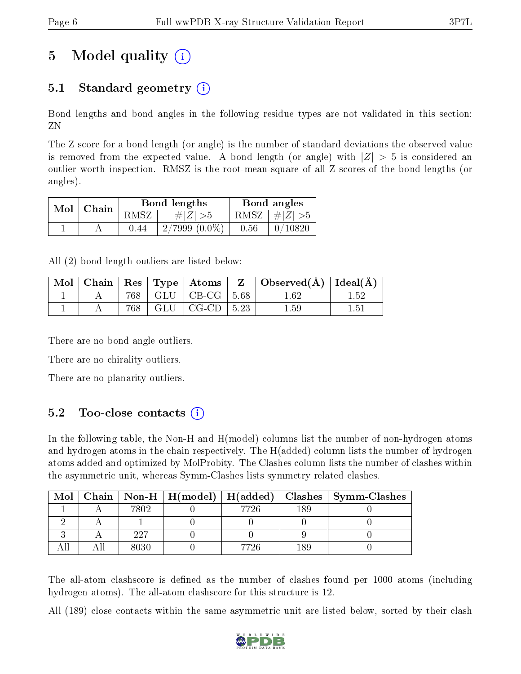# 5 Model quality  $(i)$

### 5.1 Standard geometry  $(i)$

Bond lengths and bond angles in the following residue types are not validated in this section: ZN

The Z score for a bond length (or angle) is the number of standard deviations the observed value is removed from the expected value. A bond length (or angle) with  $|Z| > 5$  is considered an outlier worth inspection. RMSZ is the root-mean-square of all Z scores of the bond lengths (or angles).

|  | $Mol$   Chain |      | Bond lengths    | Bond angles |                         |  |
|--|---------------|------|-----------------|-------------|-------------------------|--|
|  |               | RMSZ | # $ Z  > 5$     |             | RMSZ $\mid \#Z \mid >5$ |  |
|  |               | 0.44 | $2/7999(0.0\%)$ | 0.56        | 0/10820                 |  |

All (2) bond length outliers are listed below:

| Mol |     | $\vert$ Chain $\vert$ Res $\vert$ Type $\vert$ Atoms $\vert$ | $\perp$ Z $\perp$ Observed(A) $\perp$ Ideal(A) |  |
|-----|-----|--------------------------------------------------------------|------------------------------------------------|--|
|     | 768 | $\mid$ GLU $\mid$ CB-CG $\mid$ 5.68                          | $1.62\,$                                       |  |
|     | 768 | $GLU$   CG-CD   5.23                                         | 1.59                                           |  |

There are no bond angle outliers.

There are no chirality outliers.

There are no planarity outliers.

### 5.2 Too-close contacts  $(i)$

In the following table, the Non-H and H(model) columns list the number of non-hydrogen atoms and hydrogen atoms in the chain respectively. The H(added) column lists the number of hydrogen atoms added and optimized by MolProbity. The Clashes column lists the number of clashes within the asymmetric unit, whereas Symm-Clashes lists symmetry related clashes.

| Mol |      |      |     | Chain   Non-H   H(model)   H(added)   Clashes   Symm-Clashes |
|-----|------|------|-----|--------------------------------------------------------------|
|     | 7802 | 7726 | 189 |                                                              |
|     |      |      |     |                                                              |
|     | 997  |      |     |                                                              |
|     | 8030 | 7726 | 189 |                                                              |

The all-atom clashscore is defined as the number of clashes found per 1000 atoms (including hydrogen atoms). The all-atom clashscore for this structure is 12.

All (189) close contacts within the same asymmetric unit are listed below, sorted by their clash

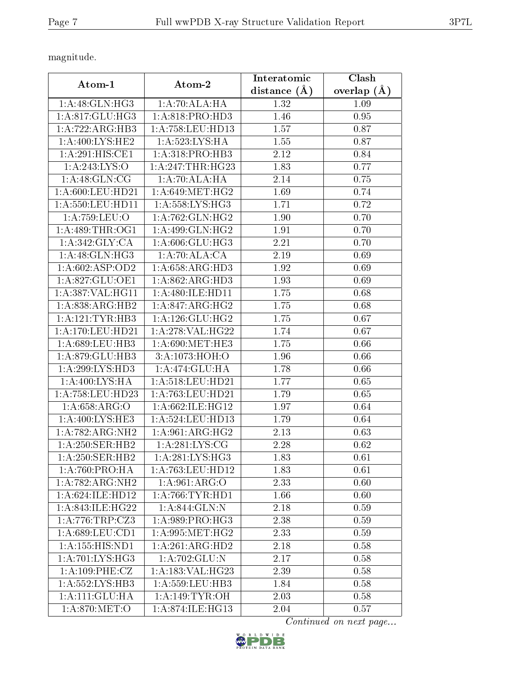magnitude.

|                              |                       | Interatomic  | Clash             |
|------------------------------|-----------------------|--------------|-------------------|
| Atom-1                       | Atom-2                | distance (Å) | overlap $(A)$     |
| 1: A:48: GLN: HG3            | 1:A:70:ALA:HA         | 1.32         | 1.09              |
| 1: A:817: GLU:HG3            | 1: A:818: PRO:HD3     | 1.46         | 0.95              |
| 1:A:722:ARG:HB3              | 1:A:758:LEU:HD13      | 1.57         | 0.87              |
| 1: A:400: LYS: HE2           | 1: A:523: LYS: HA     | 1.55         | 0.87              |
| 1:A:291:HIS:CE1              | 1: A:318: PRO:HB3     | 2.12         | 0.84              |
| 1:A:243:LYS:O                | 1: A:247:THR:HG23     | 1.83         | 0.77              |
| 1: A:48: GLN: CG             | 1:A:70:ALA:HA         | 2.14         | 0.75              |
| 1: A:600:LEU:HD21            | 1: A:649:MET:HG2      | 1.69         | 0.74              |
| 1: A:550:LEU:HD11            | 1: A:558:LYS:HG3      | 1.71         | 0.72              |
| 1: A:759:LEU:O               | 1:A:762:GLN:HG2       | 1.90         | 0.70              |
| 1: A:489:THR:OG1             | 1:A:499:GLN:HG2       | 1.91         | 0.70              |
| 1: A:342: GLY: CA            | 1: A:606: GLU:HG3     | 2.21         | 0.70              |
| 1: A:48: GLN: HG3            | 1:A:70:ALA:CA         | 2.19         | 0.69              |
| 1:A:602:ASP:OD2              | 1:A:658:ARG:HD3       | 1.92         | 0.69              |
| 1:A:827:GLU:OE1              | 1:A:862:ARG:HD3       | 1.93         | 0.69              |
| 1:A:387:VAL:HG11             | 1:A:480:ILE:HD11      | 1.75         | 0.68              |
| 1: A:838:ARG:HB2             | 1:A:847:ARG:HG2       | 1.75         | 0.68              |
| 1:A:121:TYR:HB3              | 1: A: 126: GLU: HG2   | 1.75         | 0.67              |
| 1: A:170: LEU: HD21          | 1:A:278:VAL:HG22      | 1.74         | 0.67              |
| 1:A:689:LEU:HB3              | 1: A:690:MET:HE3      | 1.75         | 0.66              |
| 1: A:879: GLU:HB3            | 3:A:1073:HOH:O        | 1.96         | 0.66              |
| 1:A:299:LYS:HD3              | 1:A:474:GLU:HA        | 1.78         | 0.66              |
| 1:A:400:LYS:HA               | 1:A:518:LEU:HD21      | 1.77         | 0.65              |
| 1: A:758:LEU:HD23            | 1:A:763:LEU:HD21      | 1.79         | 0.65              |
| 1: A:658: ARG:O              | 1: A:662: ILE: HG12   | 1.97         | 0.64              |
| 1:A:400:LYS:HE3              | $1: A: 524:$ LEU:HD13 | 1.79         | 0.64              |
| 1:A:782:ARG:NH2              | 1: A:961: ARG: HG2    | 2.13         | 0.63              |
| 1: A:250: SER: HB2           | 1: A:281: LYS:CG      | 2.28         | 0.62              |
| 1: A:250: SER: HB2           | 1:A:281:LYS:HG3       | 1.83         | 0.61              |
| 1: A:760:PRO:HA              | 1: A: 763: LEU: HD12  | 1.83         | 0.61              |
| 1:A:782:ARG:NH2              | 1: A:961: ARG:O       | 2.33         | $\overline{0.60}$ |
| 1:A:624:ILE:HD12             | 1: A:766:TYR:HD1      | 1.66         | 0.60              |
| 1:A:843:ILE:HG22             | 1:A:844:GLN:N         | 2.18         | 0.59              |
| 1:A:776:TRP:CZ3              | 1:A:989:PRO:HG3       | 2.38         | 0.59              |
| 1:A:689:LEU:CD1              | 1: A:995:MET:HG2      | 2.33         | 0.59              |
| $1:A:155:HIS:\overline{ND1}$ | 1:A:261:ARG:HD2       | 2.18         | 0.58              |
| 1: A:701: LYS: HG3           | 1:A:702:GLU:N         | 2.17         | 0.58              |
| 1: A: 109: PHE: CZ           | 1:A:183:VAL:HG23      | 2.39         | 0.58              |
| 1:A:552:LYS:HB3              | 1:A:559:LEU:HB3       | 1.84         | 0.58              |
| 1:A:111:GLU:HA               | 1: A:149: TYR: OH     | 2.03         | 0.58              |
| 1: A:870:MET:O               | 1:A:874:ILE:HG13      | 2.04         | 0.57              |

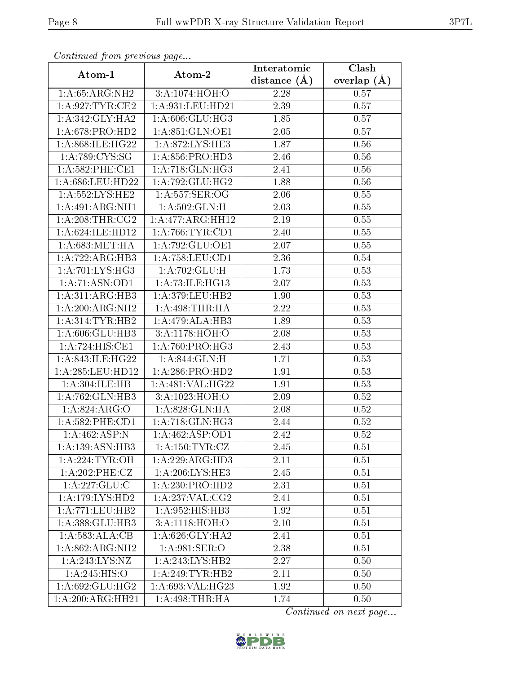| Continuea from previous page |                     | Interatomic       | Clash         |
|------------------------------|---------------------|-------------------|---------------|
| Atom-1                       | Atom-2              | distance $(A)$    | overlap $(A)$ |
| 1: A:65: ARG: NH2            | 3:A:1074:HOH:O      | 2.28              | 0.57          |
| 1: A:927:TYR:CE2             | 1:A:931:LEU:HD21    | 2.39              | 0.57          |
| 1: A:342: GLY:HA2            | 1:A:606:GLU:HG3     | 1.85              | 0.57          |
| 1: A:678: PRO:HD2            | 1: A:851: GLN:OE1   | 2.05              | 0.57          |
| 1:A:868:ILE:HG22             | 1:A:872:LYS:HE3     | 1.87              | 0.56          |
| 1:A:789:CYS:SG               | 1: A:856: PRO:HD3   | 2.46              | 0.56          |
| $1: A:582:$ PHE:CE1          | 1:A:718:GLN:HG3     | 2.41              | 0.56          |
| 1:A:686:LEU:HD22             | 1:A:792:GLU:HG2     | 1.88              | 0.56          |
| 1: A: 552: LYS: HE2          | 1: A: 557: SER: OG  | 2.06              | 0.55          |
| 1:A:491:ARG:NH1              | 1: A:502: GLN:H     | 2.03              | 0.55          |
| 1: A:208:THR:CG2             | 1:A:477:ARG:HH12    | $2.19\,$          | 0.55          |
| 1:A:624:ILE:HD12             | 1:A:766:TYR:CD1     | 2.40              | 0.55          |
| 1: A:683:MET:HA              | 1:A:792:GLU:OE1     | 2.07              | 0.55          |
| 1:A:722:ARG:HB3              | 1: A: 758: LEU: CD1 | 2.36              | 0.54          |
| 1: A:701:LYS:HG3             | 1:A:702:GLU:H       | 1.73              | 0.53          |
| 1:A:71:ASN:OD1               | 1:A:73:ILE:HG13     | 2.07              | 0.53          |
| 1:A:311:ARG:HB3              | 1:A:379:LEU:HB2     | 1.90              | 0.53          |
| 1:A:200:ARG:NH2              | 1: A:498:THR:HA     | 2.22              | 0.53          |
| 1: A:314:TYR:HB2             | 1:A:479:ALA:HB3     | 1.89              | 0.53          |
| 1:A:606:GLU:HB3              | 3:A:1178:HOH:O      | 2.08              | 0.53          |
| 1:A:724:HIS:CE1              | 1: A:760: PRO:HG3   | 2.43              | 0.53          |
| 1:A:843:ILE:HG22             | 1:A:844:GLN:H       | 1.71              | 0.53          |
| 1:A:285:LEU:HD12             | 1:A:286:PRO:HD2     | 1.91              | 0.53          |
| 1:A:304:ILE:HB               | 1:A:481:VAL:HG22    | $\overline{1}.91$ | 0.53          |
| 1:A:762:GLN:HB3              | 3:A:1023:HOH:O      | 2.09              | 0.52          |
| $1:A:824:\overline{ARG:O}$   | 1:A:828:GLN:HA      | 2.08              | 0.52          |
| 1: A: 582: PHE: CD1          | 1:A:718:GLN:HG3     | 2.44              | 0.52          |
| 1:A:462:ASP:N                | 1:A:462:ASP:OD1     | 2.42              | 0.52          |
| 1: A: 139: ASN: HB3          | 1: A: 150: TYR: CZ  | 2.45              | 0.51          |
| 1: A:224:TYR:OH              | 1:A:229:ARG:HD3     | 2.11              | 0.51          |
| 1: A:202:PHE:CZ              | 1: A:206:LYS:HE3    | 2.45              | 0.51          |
| 1:A:227:GLU:C                | 1:A:230:PRO:HD2     | 2.31              | 0.51          |
| 1: A:179: LYS: HD2           | 1: A:237: VAL: CG2  | 2.41              | 0.51          |
| 1: A: 771: LEU: HB2          | 1:A:952:HIS:HB3     | 1.92              | 0.51          |
| 1:A:388:GLU:HB3              | 3:A:1118:HOH:O      | 2.10              | 0.51          |
| 1:A:583:ALA:CB               | 1: A:626: GLY:HA2   | 2.41              | 0.51          |
| 1:A:862:ARG:NH2              | 1: A:981: SER:O     | 2.38              | 0.51          |
| 1:A:243:LYS:NZ               | 1:A:243:LYS:HB2     | 2.27              | 0.50          |
| 1:A:245:HIS:O                | 1: A:249:TYR:HB2    | 2.11              | 0.50          |
| 1:A:692:GLU:HG2              | 1: A:693:VAL:HG23   | 1.92              | 0.50          |
| 1:A:200:ARG:HH21             | 1: A:498:THR:HA     | 1.74              | 0.50          |

Continued from previous page.

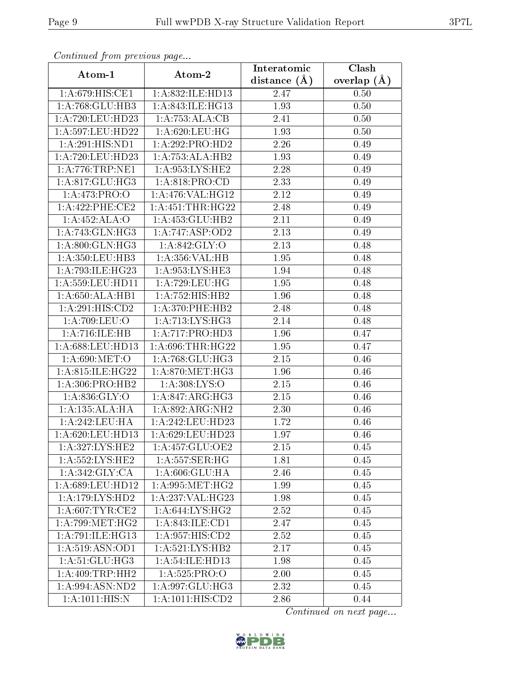| Communa from previous page |                              | Interatomic      | Clash         |  |
|----------------------------|------------------------------|------------------|---------------|--|
| Atom-1                     | Atom-2                       | distance $(\AA)$ | overlap $(A)$ |  |
| 1:A:679:HIS:CE1            | 1:A:832:ILE:HD13             | 2.47             | 0.50          |  |
| 1:A:768:GLU:HB3            | 1:A:843:ILE:HG13             | 1.93             | 0.50          |  |
| 1: A:720:LEU:HD23          | 1:A:753:ALA:CB               | 2.41             | 0.50          |  |
| 1: A:597:LEU:HD22          | 1: A:620: LEU: HG            | 1.93             | 0.50          |  |
| 1: A:291: HIS: ND1         | 1:A:292:PRO:HD2              | 2.26             | 0.49          |  |
| 1:A:720:LEU:HD23           | 1:A:753:ALA:HB2              | 1.93             | 0.49          |  |
| 1: A:776:TRP:NE1           | 1: A:953: LYS: HE2           | 2.28             | 0.49          |  |
| 1: A:817: GLU:HG3          | 1: A:818: PRO:CD             | 2.33             | 0.49          |  |
| 1:A:473:PRO:O              | 1:A:476:VAL:HG12             | 2.12             | 0.49          |  |
| $1: A:422:$ PHE:CE2        | 1: A: 451:THR: HG22          | 2.48             | 0.49          |  |
| 1:A:452:ALA:O              | 1:A:453:GLU:HB2              | 2.11             | 0.49          |  |
| 1: A:743: GLN: HG3         | 1: A:747: ASP:OD2            | 2.13             | 0.49          |  |
| 1:A:800:GLN:HG3            | 1:A:842:GLY:O                | 2.13             | 0.48          |  |
| 1: A: 350: LEU: HB3        | 1:A:356:VAL:HB               | 1.95             | 0.48          |  |
| 1:A:793:ILE:HG23           | 1:A:953:LYS:HE3              | 1.94             | 0.48          |  |
| 1: A:559:LEU:HD11          | 1: A:729:LEU:HG              | 1.95             | 0.48          |  |
| 1:A:650:ALA:HB1            | 1:A:752:HIS:HB2              | 1.96             | 0.48          |  |
| 1:A:291:HIS:CD2            | 1:A:370:PHE:HB2              | 2.48             | 0.48          |  |
| 1:A:709:LEU:O              | 1:A:713:LYS:HG3              | 2.14             | 0.48          |  |
| 1:A:716:ILE:HB             | 1:A:717:PRO:HD3              | 1.96             | 0.47          |  |
| 1:A:688:LEU:HD13           | 1: A:696:THR:HG22            | 1.95             | 0.47          |  |
| 1: A:690:MET:O             | 1:A:768:GLU:HG3              | 2.15             | 0.46          |  |
| 1:A:815:ILE:HG22           | 1: A:870:MET:HG3             | 1.96             | 0.46          |  |
| 1: A:306: PRO:HB2          | 1: A:308: LYS:O              | 2.15             | 0.46          |  |
| 1: A:836: GLY:O            | 1:A:847:ARG:HG3              | 2.15             | 0.46          |  |
| 1: A: 135: ALA: HA         | 1:A:892:ARG:NH2              | 2.30             | 0.46          |  |
| 1: A:242:LEU:HA            | 1:A:242:LEU:HD23             | 1.72             | 0.46          |  |
| 1: A:620:LEU:HD13          | 1:A:629:LEU:HD23             | 1.97             | 0.46          |  |
| 1:A:327:LYS:HE2            | 1:A:457:GLU:OE2              | 2.15             | 0.45          |  |
| 1: A: 552: LYS: HE2        | 1: A:557: SER:HG             | 1.81             | 0.45          |  |
| 1: A:342: GLY: CA          | 1:A:606:GLU:HA               | 2.46             | 0.45          |  |
| 1: A:689:LEU:HD12          | 1: A:995:MET:HG2             | 1.99             | 0.45          |  |
| 1: A:179: LYS: HD2         | 1:A:237:VAL:HG23             | 1.98             | 0.45          |  |
| 1: A:607:TYR:CE2           | 1: A:644: LYS: HG2           | 2.52             | 0.45          |  |
| 1: A:799: MET:HG2          | 1: A:843: ILE: CD1           | 2.47             | 0.45          |  |
| 1:A:791:ILE:HG13           | $1:A:95\overline{7:HIS:CD2}$ | 2.52             | 0.45          |  |
| 1: A:519: ASN:OD1          | 1: A:521:LYS:HB2             | 2.17             | 0.45          |  |
| 1: A:51: GLU: HG3          | 1:A:54:ILE:HD13              | 1.98             | 0.45          |  |
| 1: A:409:TRP:HH2           | 1: A:525: PRO:O              | 2.00             | 0.45          |  |
| 1:A:994:ASN:ND2            | 1:A:997:GLU:HG3              | 2.32             | 0.45          |  |
| 1: A: 1011: HIS:N          | 1: A: 1011: HIS: CD2         | 2.86             | 0.44          |  |

Continued from previous page.

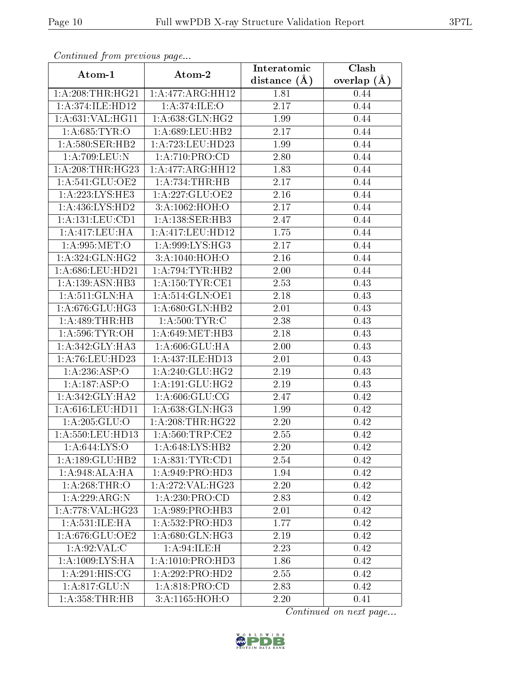| Continuea from previous page |                                         | Interatomic    | Clash         |
|------------------------------|-----------------------------------------|----------------|---------------|
| Atom-1                       | Atom-2                                  | distance $(A)$ | overlap $(A)$ |
| 1: A:208:THR:HG21            | 1:A:477:ARG:HH12                        | 1.81           | 0.44          |
| 1:A:374:ILE:HD12             | 1: A:374: ILE: O                        | 2.17           | 0.44          |
| 1:A:631:VAL:HG11             | 1: A:638: GLN: HG2                      | 1.99           | 0.44          |
| 1: A:685:TYR:O               | 1:A:689:LEU:HB2                         | 2.17           | 0.44          |
| 1: A:580: SER: HB2           | 1: A: 723: LEU: HD23                    | 1.99           | 0.44          |
| 1:A:709:LEU:N                | 1: A:710: PRO:CD                        | 2.80           | 0.44          |
| 1:A:208:THR:HG23             | 1: A:477:ARG:HH12                       | 1.83           | 0.44          |
| 1:A:541:GLU:OE2              | 1:A:734:THR:HB                          | 2.17           | 0.44          |
| 1:A:223:LYS:HE3              | 1:A:227:GLU:OE2                         | 2.16           | 0.44          |
| 1:A:436:LYS:HD2              | 3:A:1062:HOH:O                          | 2.17           | 0.44          |
| 1: A: 131: LEU: CD1          | 1: A: 138: SER: HB3                     | 2.47           | 0.44          |
| 1:A:417:LEU:HA               | 1:A:417:LEU:HD12                        | 1.75           | 0.44          |
| 1: A.995: MET:O              | 1: A:999: LYS: HG3                      | 2.17           | 0.44          |
| 1: A:324: GLN: HG2           | 3:A:1040:HOH:O                          | 2.16           | 0.44          |
| $1: A:686:$ LEU:HD21         | 1: A:794:TYR:HB2                        | $2.00\,$       | 0.44          |
| 1:A:139:ASN:HB3              | $1: A: 150: TYR: \overline{\text{CE1}}$ | 2.53           | 0.43          |
| 1:A:511:GLN:HA               | 1: A:514: GLN:OE1                       | 2.18           | 0.43          |
| 1:A:676:GLU:HG3              | 1:A:680:GLN:HB2                         | 2.01           | 0.43          |
| 1:A:489:THR:HB               | 1: A:500:TYR:C                          | 2.38           | 0.43          |
| 1: A:596: TYR:OH             | 1: A:649:MET:HB3                        | 2.18           | 0.43          |
| 1:A:342:GLY:HA3              | 1:A:606:GLU:HA                          | 2.00           | 0.43          |
| 1: A:76: LEU: HD23           | 1:A:437:ILE:HD13                        | 2.01           | 0.43          |
| 1:A:236:ASP:O                | 1:A:240:GLU:HG2                         | 2.19           | 0.43          |
| 1:A:187:ASP:O                | 1:A:191:GLU:HG2                         | 2.19           | 0.43          |
| 1: A:342: GLY:HA2            | 1: A:606: GLU:CG                        | 2.47           | 0.42          |
| 1: A:616:LEU:HD11            | 1:A:638:GLN:HG3                         | 1.99           | 0.42          |
| 1:A:205:GLU:O                | 1: A:208:THR:HG22                       | 2.20           | 0.42          |
| 1:A:550:LEU:HD13             | 1:A:560:TRP:CE2                         | $2.55\,$       | 0.42          |
| 1: A:644: LYS:O              | 1:A:648:LYS:HB2                         | 2.20           | 0.42          |
| 1:A:189:GLU:HB2              | 1: A:831: TYR: CD1                      | 2.54           | 0.42          |
| 1: A:948:ALA:HA              | 1: A:949: PRO:HD3                       | 1.94           | 0.42          |
| 1: A:268:THR:O               | 1: A:272: VAL:HG23                      | 2.20           | 0.42          |
| 1:A:229:ARG:N                | 1: A:230: PRO:CD                        | 2.83           | 0.42          |
| 1:A:778:VAL:HG23             | 1: A:989: PRO:HB3                       | 2.01           | 0.42          |
| 1: A:531: ILE: HA            | 1: A: 532: PRO: HD3                     | 1.77           | 0.42          |
| 1: A:676: GLU:OE2            | 1: A:680: GLN: HG3                      | 2.19           | 0.42          |
| 1: A:92: VAL:C               | 1: A:94: ILE:H                          | 2.23           | 0.42          |
| 1:A:1009:LYS:HA              | 1:A:1010:PRO:HD3                        | 1.86           | 0.42          |
| 1: A:291: HIS: CG            | 1:A:292:PRO:HD2                         | 2.55           | 0.42          |
| 1:A:817:GLU:N                | 1: A:818: PRO:CD                        | 2.83           | 0.42          |
| 1: A:358:THR:HB              | 3:A:1165:HOH:O                          | 2.20           | 0.41          |

Continued from previous page.

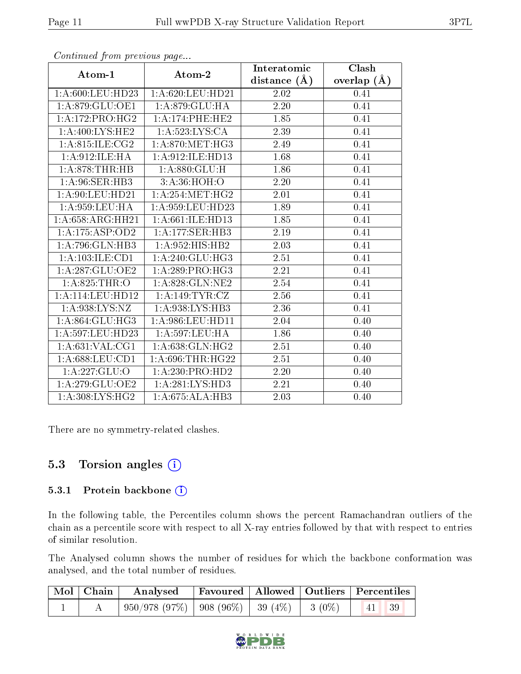| $\mathbf{r}$         | $\mathbf{r}$ $\mathbf{v}$ | Interatomic    | Clash           |
|----------------------|---------------------------|----------------|-----------------|
| Atom-1               | Atom-2                    | distance $(A)$ | overlap $(\AA)$ |
| $1: A:600:$ LEU:HD23 | 1:A:620:LEU:HD21          | 2.02           | 0.41            |
| 1: A:879: GLU:OE1    | 1: A:879: GLU: HA         | 2.20           | 0.41            |
| 1: A:172:PRO:HG2     | 1: A:174:PHE:HE2          | 1.85           | 0.41            |
| 1: A:400: LYS: HE2   | 1: A: 523: LYS: CA        | 2.39           | 0.41            |
| 1: A:815: ILE: CG2   | 1: A:870:MET:HG3          | 2.49           | 0.41            |
| 1:A:912:ILE:HA       | 1:A:912:ILE:HD13          | 1.68           | 0.41            |
| 1: A:878:THR:HB      | 1: A:880: GLU: H          | 1.86           | 0.41            |
| 1: A:96: SER: HB3    | 3: A:36: HOH:O            | 2.20           | 0.41            |
| $1:$ A:90:LEU:HD21   | 1: A: 254: MET:HG2        | 2.01           | 0.41            |
| 1: A:959: LEU: HA    | 1:A:959:LEU:HD23          | 1.89           | 0.41            |
| 1:A:658:ARG:HH21     | 1:A:661:ILE:HD13          | 1.85           | 0.41            |
| 1:A:175:ASP:OD2      | 1:A:177:SER:HB3           | 2.19           | 0.41            |
| 1:A:796:GLN:HB3      | 1:A:952:HIS:HB2           | 2.03           | 0.41            |
| 1:A:103:ILE:CD1      | 1:A:240:GLU:HG3           | 2.51           | 0.41            |
| 1:A:287:GLU:OE2      | 1:A:289:PRO:HG3           | 2.21           | 0.41            |
| 1: A:825:THR:O       | 1:A:828:GLN:NE2           | $2.54\,$       | 0.41            |
| 1: A:114:LEU:HD12    | 1:A:149:TYR:CZ            | $2.56\,$       | 0.41            |
| 1:A:938:LYS:NZ       | 1: A:938: LYS: HB3        | 2.36           | 0.41            |
| 1: A:864: GLU:HG3    | 1: A:986:LEU:HD11         | 2.04           | 0.40            |
| 1:A:597:LEU:HD23     | 1: A:597:LEU:HA           | 1.86           | 0.40            |
| 1:A:631:VAL:CG1      | 1:A:638:GLN:HG2           | 2.51           | 0.40            |
| 1: A:688:LEU:CD1     | 1:A:696:THR:HG22          | 2.51           | 0.40            |
| 1:A:227:GLU:O        | 1:A:230:PRO:HD2           | 2.20           | 0.40            |
| 1:A:279:GLU:OE2      | 1:A:281:LYS:HD3           | 2.21           | 0.40            |
| 1: A:308: LYS: HG2   | 1:A:675:ALA:HB3           | 2.03           | 0.40            |

Continued from previous page...

There are no symmetry-related clashes.

### 5.3 Torsion angles  $(i)$

#### 5.3.1 Protein backbone (i)

In the following table, the Percentiles column shows the percent Ramachandran outliers of the chain as a percentile score with respect to all X-ray entries followed by that with respect to entries of similar resolution.

The Analysed column shows the number of residues for which the backbone conformation was analysed, and the total number of residues.

| Mol   Chain |                                                                                 | $\parallel$ Analysed Favoured   Allowed   Outliers   Percentiles |  |  |
|-------------|---------------------------------------------------------------------------------|------------------------------------------------------------------|--|--|
|             | $\mid$ 950/978 (97%) $\mid$ 908 (96%) $\mid$ 39 (4%) $\mid$ 3 (0%) $\mid$ 41 39 |                                                                  |  |  |

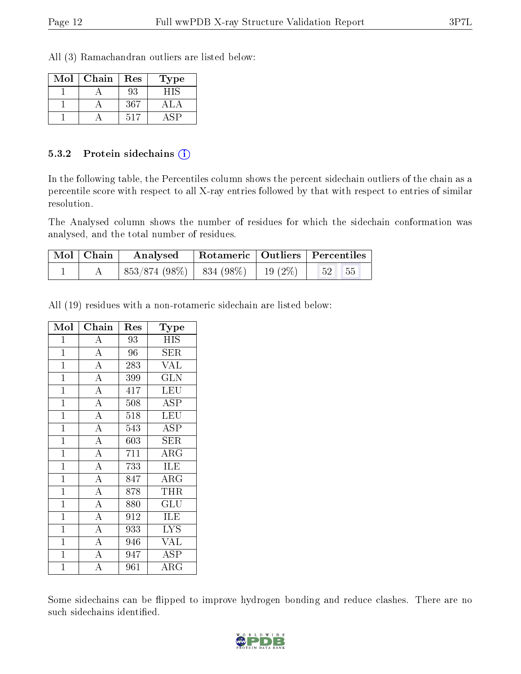All (3) Ramachandran outliers are listed below:

| Mol | Chain | Res             | Гуре |
|-----|-------|-----------------|------|
|     |       | 93              |      |
|     |       | 367             |      |
|     |       | 51 <sup>7</sup> |      |

#### 5.3.2 Protein sidechains (i)

In the following table, the Percentiles column shows the percent sidechain outliers of the chain as a percentile score with respect to all X-ray entries followed by that with respect to entries of similar resolution.

The Analysed column shows the number of residues for which the sidechain conformation was analysed, and the total number of residues.

| Mol Chain | Analysed   Rotameric   Outliers   Percentiles |  |  |                   |
|-----------|-----------------------------------------------|--|--|-------------------|
|           | $853/874(98\%)$   834 (98\%)   19 (2\%)       |  |  | $52 \mid 55 \mid$ |

All (19) residues with a non-rotameric sidechain are listed below:

| Mol            | Chain                          | $\operatorname{Res}% \left( \mathcal{N}\right) \equiv\operatorname{Res}(\mathcal{N}_{0})\left( \mathcal{N}_{0}\right) ^{2}$ | $_{\rm Type}$           |
|----------------|--------------------------------|-----------------------------------------------------------------------------------------------------------------------------|-------------------------|
| $\mathbf{1}$   | $\boldsymbol{A}$               | 93                                                                                                                          | <b>HIS</b>              |
| $\mathbf{1}$   | $\overline{A}$                 | 96                                                                                                                          | SER                     |
| $\mathbf{1}$   | $\overline{\rm A}$             | 283                                                                                                                         | <b>VAL</b>              |
| $\overline{1}$ | $\overline{\rm A}$             | 399                                                                                                                         | $\overline{\text{GLN}}$ |
| $\mathbf{1}$   | $\overline{\rm A}$             | 417                                                                                                                         | LEU                     |
| $\mathbf{1}$   | $\overline{\rm A}$             | 508                                                                                                                         | <b>ASP</b>              |
| $\mathbf{1}$   | $\overline{A}$                 | 518                                                                                                                         | LEU                     |
| $\mathbf{1}$   | $\overline{\rm A}$             | 543                                                                                                                         | <b>ASP</b>              |
| $\mathbf{1}$   | $\overline{A}$                 | 603                                                                                                                         | ${\rm SER}$             |
| $\mathbf{1}$   | $\overline{A}$                 | 711                                                                                                                         | $\rm{ARG}$              |
| $\overline{1}$ | $\overline{A}$                 | 733                                                                                                                         | ILE                     |
| $\mathbf{1}$   | $\overline{\rm A}$             | 847                                                                                                                         | $\rm{ARG}$              |
| $\mathbf{1}$   | $\overline{\rm A}$             | 878                                                                                                                         | THR                     |
| $\overline{1}$ | $\overline{\rm A}$             | 880                                                                                                                         | GLU                     |
| $\overline{1}$ | $\overline{\overline{\rm{A}}}$ | 912                                                                                                                         | <b>ILE</b>              |
| $\mathbf{1}$   | $\overline{A}$                 | 933                                                                                                                         | <b>LYS</b>              |
| $\mathbf{1}$   | $\overline{\rm A}$             | 946                                                                                                                         | <b>VAL</b>              |
| $\mathbf{1}$   | $\overline{\rm A}$             | 947                                                                                                                         | ASP                     |
| $\overline{1}$ | $\overline{\rm A}$             | 961                                                                                                                         | ${\rm ARG}$             |

Some sidechains can be flipped to improve hydrogen bonding and reduce clashes. There are no such sidechains identified.

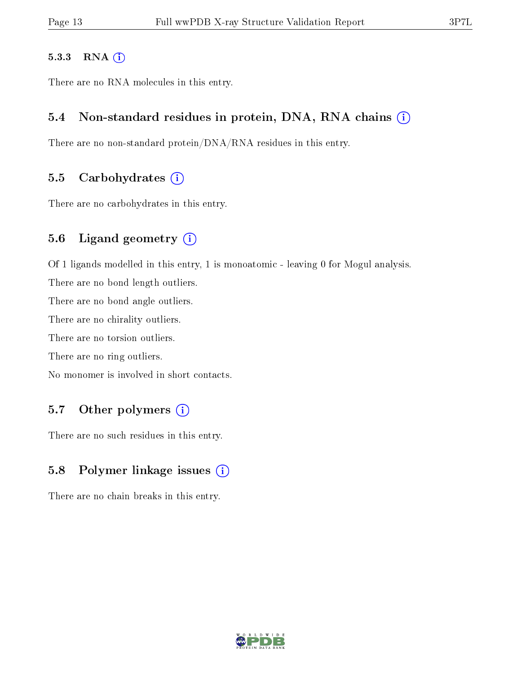#### 5.3.3 RNA (i)

There are no RNA molecules in this entry.

#### 5.4 Non-standard residues in protein, DNA, RNA chains  $(i)$

There are no non-standard protein/DNA/RNA residues in this entry.

#### 5.5 Carbohydrates  $(i)$

There are no carbohydrates in this entry.

#### 5.6 Ligand geometry (i)

Of 1 ligands modelled in this entry, 1 is monoatomic - leaving 0 for Mogul analysis.

There are no bond length outliers.

There are no bond angle outliers.

There are no chirality outliers.

There are no torsion outliers.

There are no ring outliers.

No monomer is involved in short contacts.

#### 5.7 [O](https://www.wwpdb.org/validation/2017/XrayValidationReportHelp#nonstandard_residues_and_ligands)ther polymers  $(i)$

There are no such residues in this entry.

#### 5.8 Polymer linkage issues  $(i)$

There are no chain breaks in this entry.

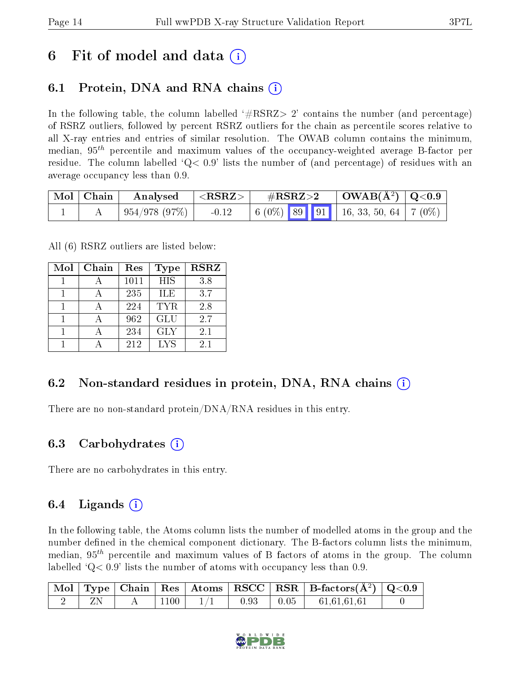## 6 Fit of model and data  $\left( \cdot \right)$

## 6.1 Protein, DNA and RNA chains (i)

In the following table, the column labelled  $#RSRZ>2'$  contains the number (and percentage) of RSRZ outliers, followed by percent RSRZ outliers for the chain as percentile scores relative to all X-ray entries and entries of similar resolution. The OWAB column contains the minimum, median,  $95<sup>th</sup>$  percentile and maximum values of the occupancy-weighted average B-factor per residue. The column labelled  $Q < 0.9$  lists the number of (and percentage) of residues with an average occupancy less than 0.9.

| $\mid$ Mol $\mid$ Chain $\mid$ | $\mid$ Analysed $\mid$ <rsrz> <math>\mid</math></rsrz> |         | $\rm \#RSRZ{>}2$ | $\vert$ OWAB(Å <sup>2</sup> ) $\vert$ Q<0.9                                                           |  |
|--------------------------------|--------------------------------------------------------|---------|------------------|-------------------------------------------------------------------------------------------------------|--|
|                                | $\mid$ 954/978 (97%) $\mid$                            | $-0.12$ |                  | $\begin{array}{ c c c c c c c c c } \hline 6 & 0\% \\ \hline \end{array}$ 89 91 16, 33, 50, 64 7 (0%) |  |

All (6) RSRZ outliers are listed below:

| Mol | Chain | Res  | <b>Type</b> | <b>RSRZ</b> |
|-----|-------|------|-------------|-------------|
|     |       | 1011 | <b>HIS</b>  | 3.8         |
|     |       | 235  | ILE         | 3.7         |
|     |       | 224  | TYR.        | 2.8         |
|     |       | 962  | <b>GLU</b>  | 2.7         |
|     |       | 234  | <b>GLY</b>  | 2.1         |
|     |       | 212  | <b>LYS</b>  | 21          |

### 6.2 Non-standard residues in protein, DNA, RNA chains (i)

There are no non-standard protein/DNA/RNA residues in this entry.

#### 6.3 Carbohydrates (i)

There are no carbohydrates in this entry.

### 6.4 Ligands  $(i)$

In the following table, the Atoms column lists the number of modelled atoms in the group and the number defined in the chemical component dictionary. The B-factors column lists the minimum, median,  $95<sup>th</sup>$  percentile and maximum values of B factors of atoms in the group. The column labelled  $Q< 0.9$  lists the number of atoms with occupancy less than 0.9.

|  |      |      | $\mid$ Mol $\mid$ Type $\mid$ Chain $\mid$ Res $\mid$ Atoms $\mid$ RSCC $\mid$ RSR $\mid$ B-factors(A <sup>2</sup> ) $\mid$ Q<0.9 |  |
|--|------|------|-----------------------------------------------------------------------------------------------------------------------------------|--|
|  | 1100 | 0.93 | $\begin{array}{ c c c c c } \hline 0.05 & 61.61.61.61 \hline \end{array}$                                                         |  |